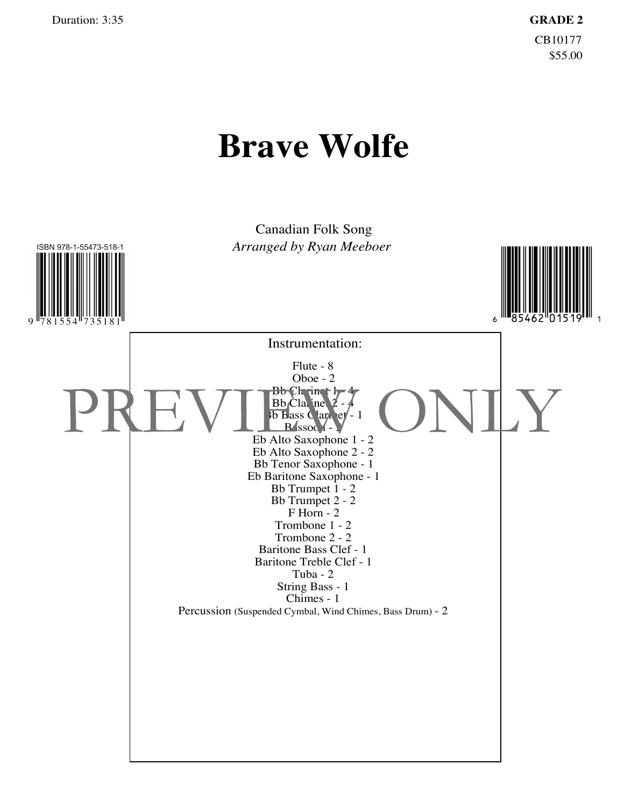## **Brave Wolfe**

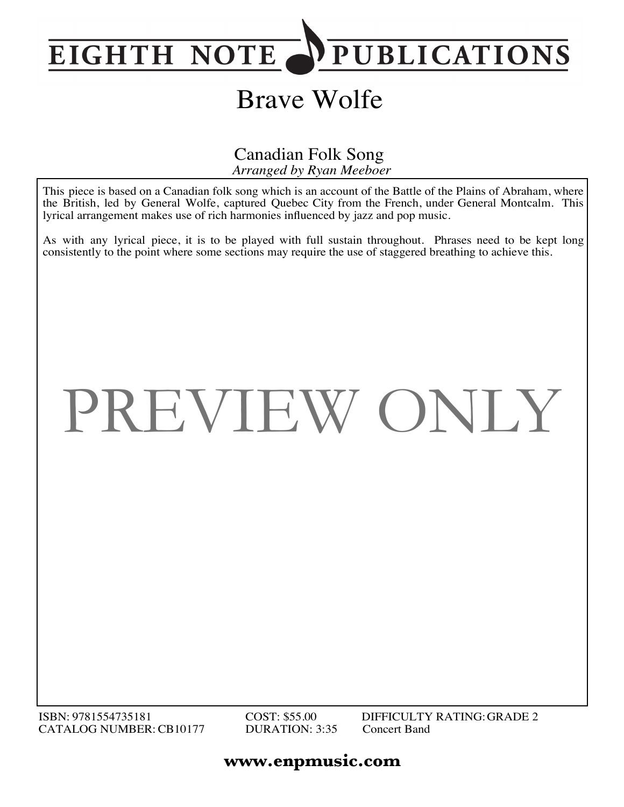

### Brave Wolfe

#### *Arranged by Ryan Meeboer* Canadian Folk Song

This piece is based on a Canadian folk song which is an account of the Battle of the Plains of Abraham, where the British, led by General Wolfe, captured Quebec City from the French, under General Montcalm. This lyrical arrangement makes use of rich harmonies influenced by jazz and pop music.

As with any lyrical piece, it is to be played with full sustain throughout. Phrases need to be kept long consistently to the point where some sections may require the use of staggered breathing to achieve this.

# PREVIEW ONLY

ISBN: 9781554735181 CATALOG NUMBER: CB10177 COST: \$55.00 DURATION: 3:35 DIFFICULTY RATING:GRADE 2 Concert Band

#### **www.enpmusic.com**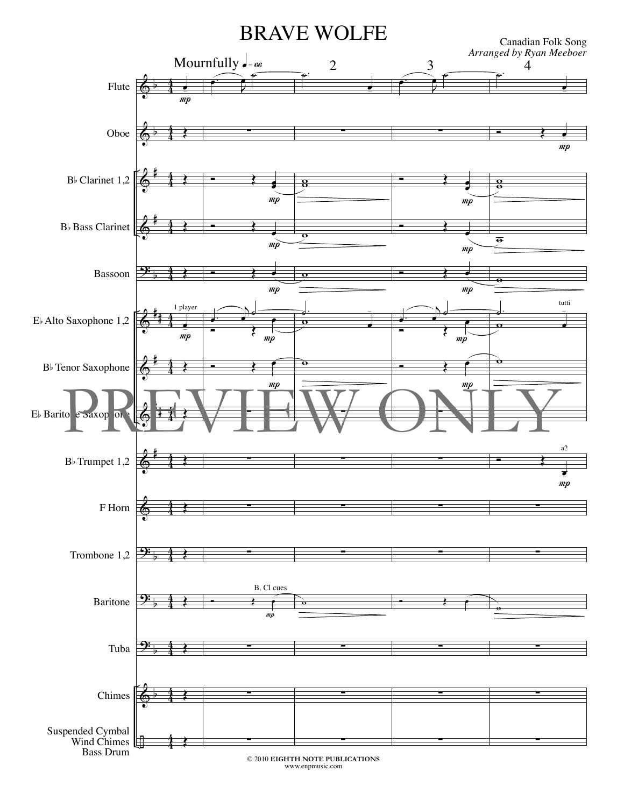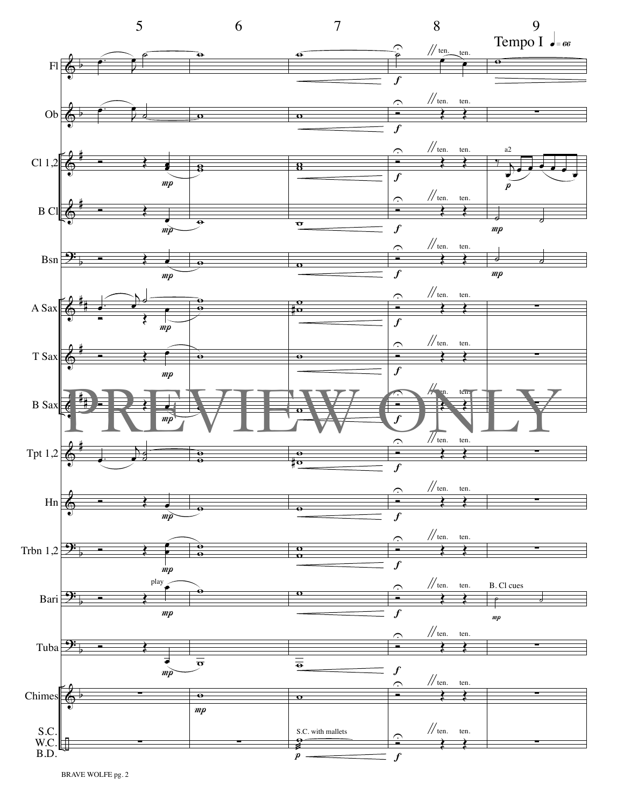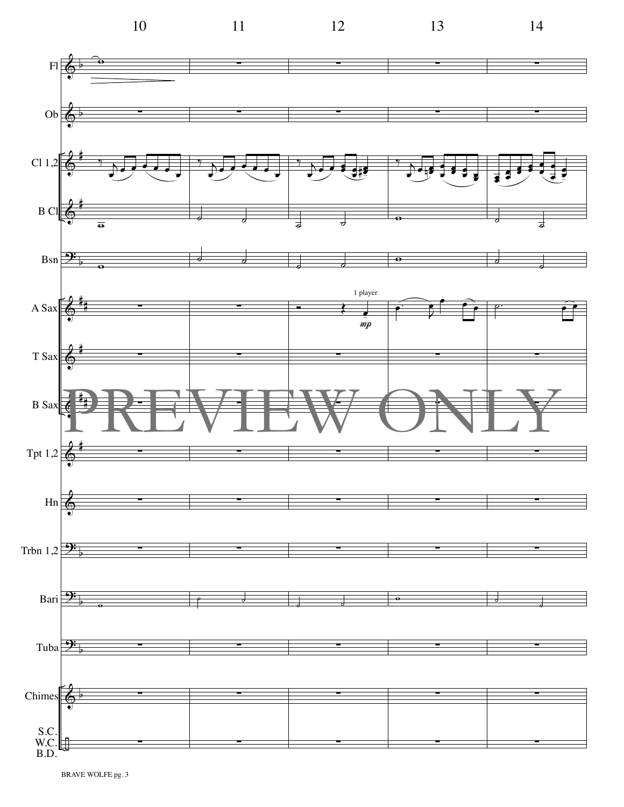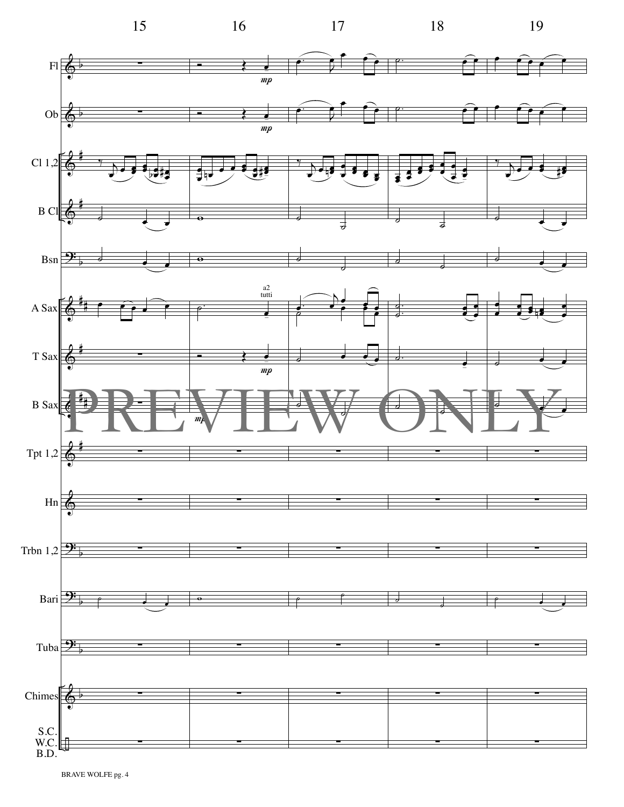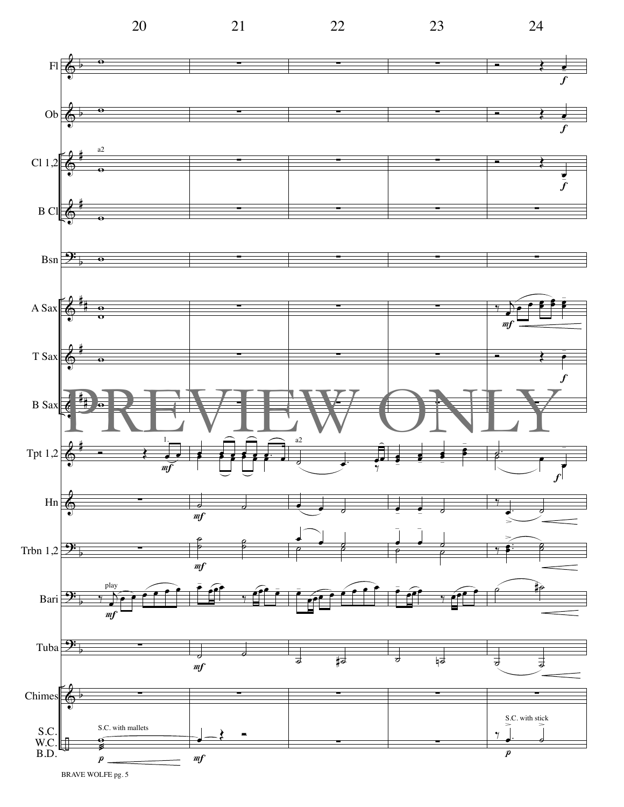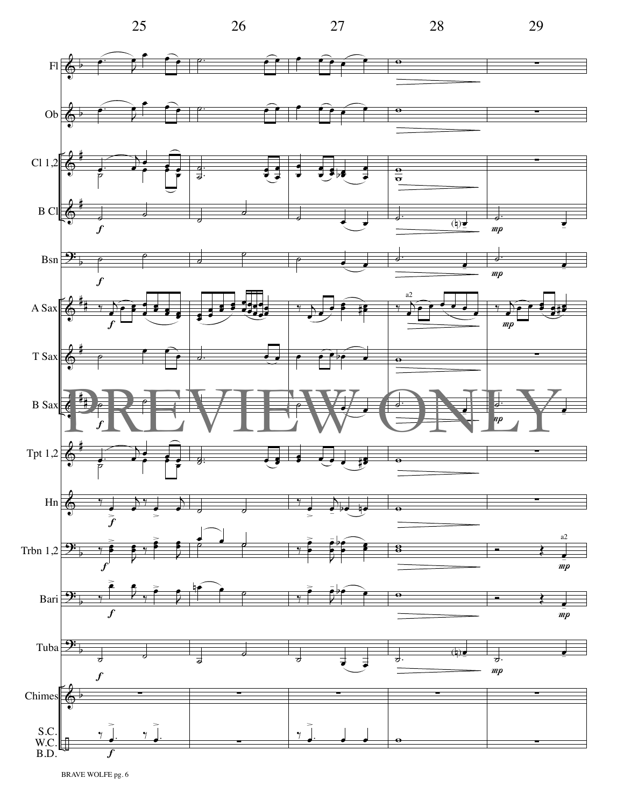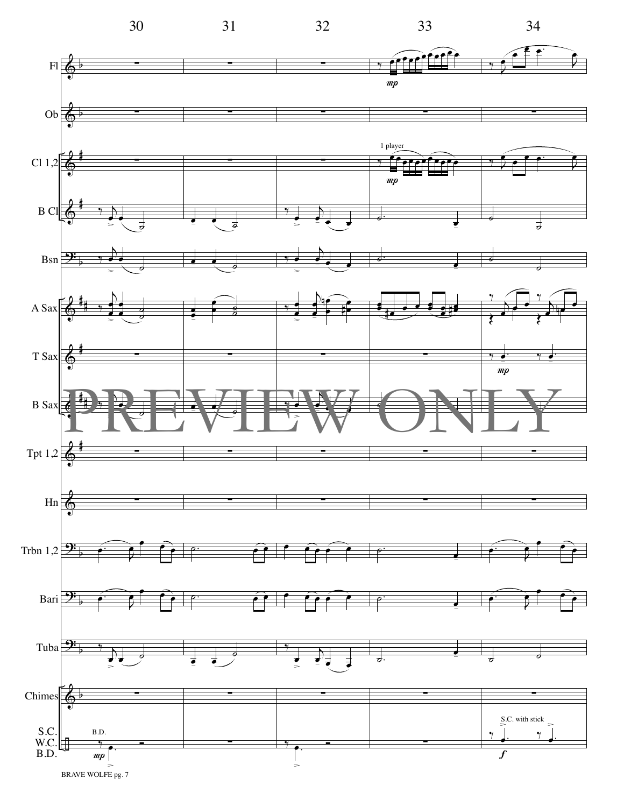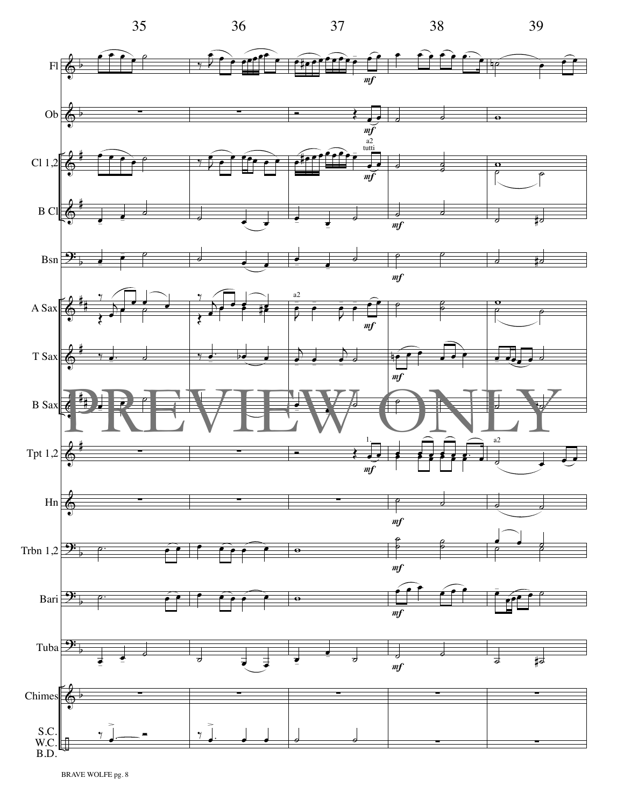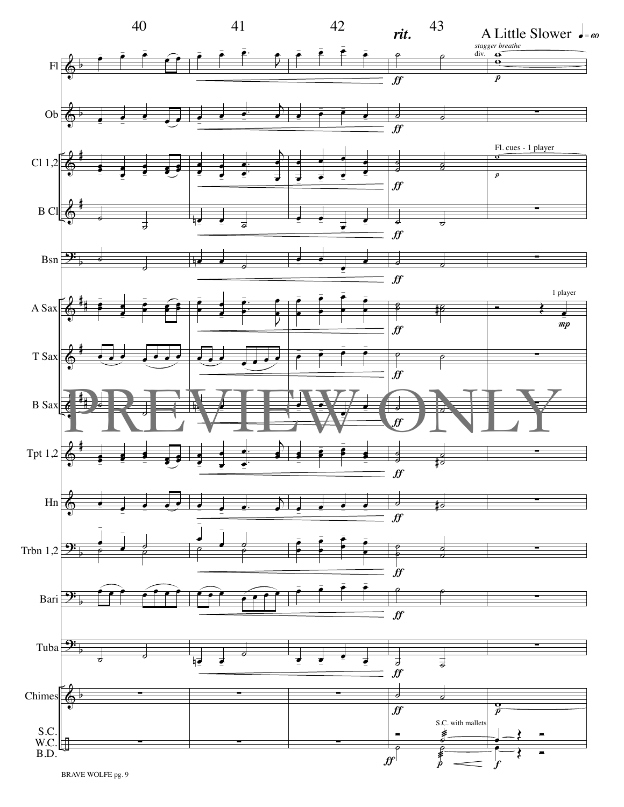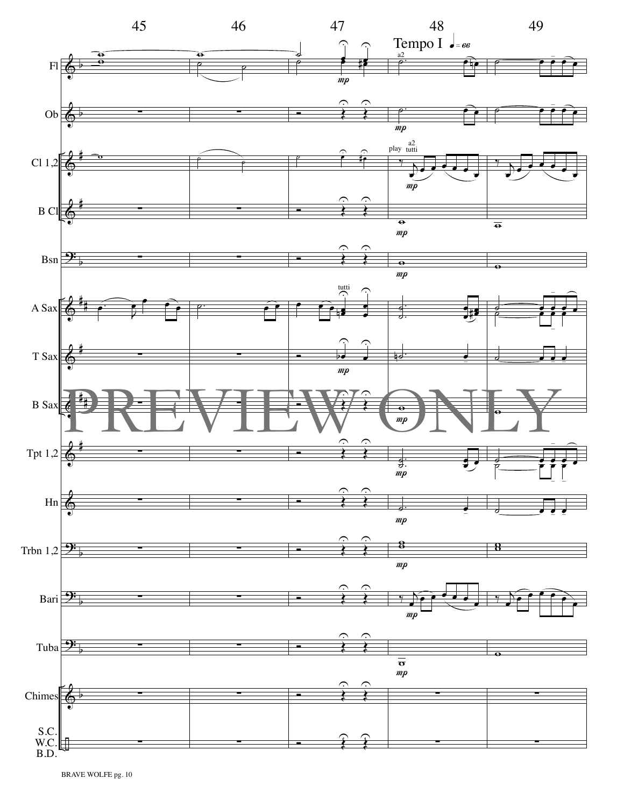